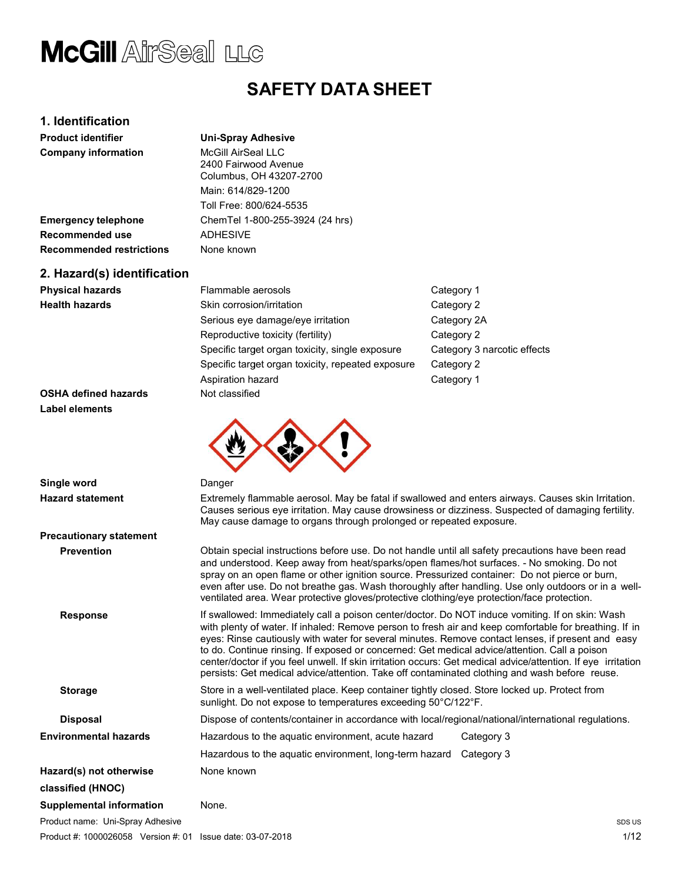### SAFETY SAFETY DATA SHEET

### 1. Identification

|  | Jni-Spray Adhesive |
|--|--------------------|
|  |                    |

| <b>Product identifier</b>       | <b>Uni-Spray Adhesive</b>                                                                                                                                                                                |                             |
|---------------------------------|----------------------------------------------------------------------------------------------------------------------------------------------------------------------------------------------------------|-----------------------------|
| <b>Company information</b>      | McGill AirSeal LLC<br>2400 Fairwood Avenue<br>Columbus, OH 43207-2700                                                                                                                                    |                             |
|                                 | Main: 614/829-1200                                                                                                                                                                                       |                             |
|                                 | Toll Free: 800/624-5535                                                                                                                                                                                  |                             |
| <b>Emergency telephone</b>      | ChemTel 1-800-255-3924 (24 hrs)                                                                                                                                                                          |                             |
| Recommended use                 | <b>ADHESIVE</b>                                                                                                                                                                                          |                             |
| <b>Recommended restrictions</b> | None known                                                                                                                                                                                               |                             |
| 2. Hazard(s) identification     |                                                                                                                                                                                                          |                             |
| <b>Physical hazards</b>         | Flammable aerosols                                                                                                                                                                                       | Category 1                  |
| <b>Health hazards</b>           | Skin corrosion/irritation                                                                                                                                                                                | Category 2                  |
|                                 | Serious eye damage/eye irritation                                                                                                                                                                        | Category 2A                 |
|                                 | Reproductive toxicity (fertility)                                                                                                                                                                        | Category 2                  |
|                                 | Specific target organ toxicity, single exposure                                                                                                                                                          | Category 3 narcotic effects |
|                                 | Specific target organ toxicity, repeated exposure                                                                                                                                                        | Category 2                  |
|                                 | Aspiration hazard                                                                                                                                                                                        | Category 1                  |
| <b>OSHA defined hazards</b>     | Not classified                                                                                                                                                                                           |                             |
| <b>Label elements</b>           |                                                                                                                                                                                                          |                             |
|                                 |                                                                                                                                                                                                          |                             |
| Single word                     | Danger                                                                                                                                                                                                   |                             |
| <b>Hazard statement</b>         | Extremely flammable aerosol. May be fatal if swallowed and enters airways. Causes skin Irritation.<br>Causes serious eye irritation. May cause drowsiness or dizziness. Suspected of damaging fertility. |                             |

Product name: Uni-Spray Adhesive **Hazard statement** Extremely flammable aerosol. May be fatal if swallowed and enters airways. Causes skin Irritation. Causes serious eye irritation. May cause drowsiness or dizziness. Suspected of damaging fertility. May cause damage to organs through prolonged or repeated exposure. Precautionary statement Prevention Obtain special cause or exposure.special instructions before use. Do not handle until all safety precautions ziness. precautions have been read and understood. Keep away from heat/sparks/open flames/hot surfaces. - No smoking. Do not spray on an open flame or other ignition source. Pressurized container: Do not pierce or burn, even after use. Do not breathe gas. Wash thoroughly after handling. Use only outdoors or in a wellventilated area. Wear protective gloves/protective clothing/eye protection/face protection/face protection. Response statust of swallowed: Immediately call a poison center/doctor. Do NOT induce vomiting. If on skin: Wash with plenty of water. If inhaled: Remove person to fresh air and keep comfortable for breathing. If in eyes: Rinse cautiously with water for several minutes. Remove contact lenses, if present and easy to do. Continue Continue rinsing. If exposed or concerned: Get medical advice/attention. advice/attention. Call a poison center/doctor if you feel unwell. If skin irritation occurs: Get medical advice/attention. If eye irritation persists: Get Get medical advice/attention. Take off contaminated clothing and wash before reuse. Storage Store in a well-ventilated place. Keep container tightly closed. Store locked up. Protect from sunlight. Do not expose to temperatures exceeding 50°C/122°F. Disposal **in a late of Dispose of contents/container** in accordance with local/regional/national/international regulations. **Environmental hazards Hazardous to the aquatic environment, acute hazard** Category 3 Hazardous to the aquatic environment, long-term hazard Category 3 Hazard(s) not otherwise None known classified (HNOC) Supplemental information None. SDS US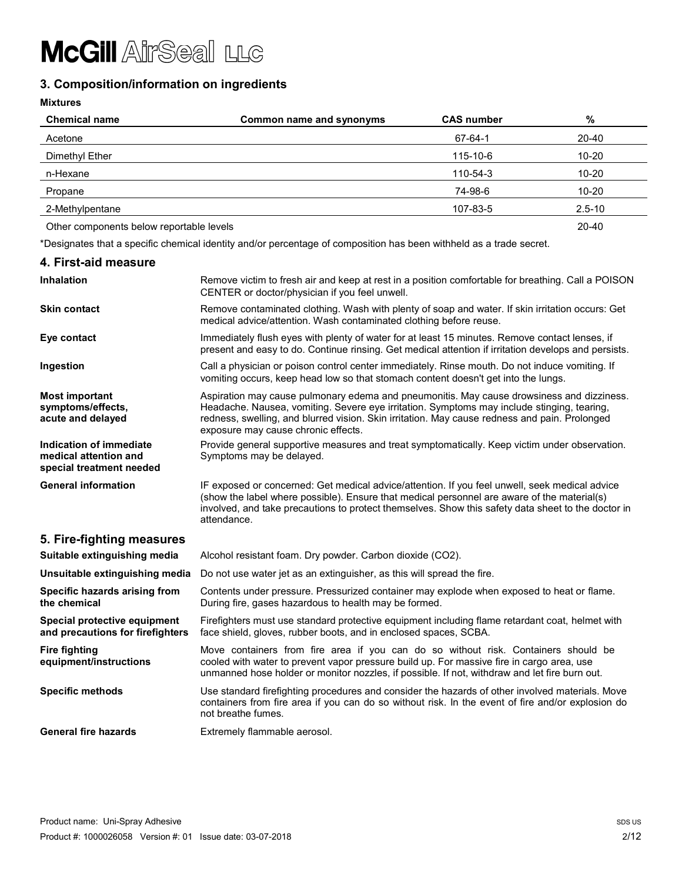### 3. Composition/information on ingredients

| <b>Chemical name</b>                     | Common name and synonyms | <b>CAS number</b> | $\%$       |
|------------------------------------------|--------------------------|-------------------|------------|
| Acetone                                  |                          | 67-64-1           | 20-40      |
| Dimethyl Ether                           |                          | 115-10-6          | $10 - 20$  |
| n-Hexane                                 |                          | 110-54-3          | $10 - 20$  |
| Propane                                  |                          | 74-98-6           | $10 - 20$  |
| 2-Methylpentane                          |                          | 107-83-5          | $2.5 - 10$ |
| Other components below reportable levels |                          |                   | 20-40      |

\*Designates that a specific chemical identity and/or percentage of composition has been withheld as a trade secret.

| 4. First-aid measure                                                         |                                                                                                                                                                                                                                                                                                                                 |
|------------------------------------------------------------------------------|---------------------------------------------------------------------------------------------------------------------------------------------------------------------------------------------------------------------------------------------------------------------------------------------------------------------------------|
| <b>Inhalation</b>                                                            | Remove victim to fresh air and keep at rest in a position comfortable for breathing. Call a POISON<br>CENTER or doctor/physician if you feel unwell.                                                                                                                                                                            |
| <b>Skin contact</b>                                                          | Remove contaminated clothing. Wash with plenty of soap and water. If skin irritation occurs: Get<br>medical advice/attention. Wash contaminated clothing before reuse.                                                                                                                                                          |
| Eye contact                                                                  | Immediately flush eyes with plenty of water for at least 15 minutes. Remove contact lenses, if<br>present and easy to do. Continue rinsing. Get medical attention if irritation develops and persists.                                                                                                                          |
| Ingestion                                                                    | Call a physician or poison control center immediately. Rinse mouth. Do not induce vomiting. If<br>vomiting occurs, keep head low so that stomach content doesn't get into the lungs.                                                                                                                                            |
| <b>Most important</b><br>symptoms/effects,<br>acute and delayed              | Aspiration may cause pulmonary edema and pneumonitis. May cause drowsiness and dizziness.<br>Headache. Nausea, vomiting. Severe eye irritation. Symptoms may include stinging, tearing,<br>redness, swelling, and blurred vision. Skin irritation. May cause redness and pain. Prolonged<br>exposure may cause chronic effects. |
| Indication of immediate<br>medical attention and<br>special treatment needed | Provide general supportive measures and treat symptomatically. Keep victim under observation.<br>Symptoms may be delayed.                                                                                                                                                                                                       |
| <b>General information</b>                                                   | IF exposed or concerned: Get medical advice/attention. If you feel unwell, seek medical advice<br>(show the label where possible). Ensure that medical personnel are aware of the material(s)<br>involved, and take precautions to protect themselves. Show this safety data sheet to the doctor in<br>attendance.              |
| 5. Fire-fighting measures                                                    |                                                                                                                                                                                                                                                                                                                                 |
| Suitable extinguishing media                                                 | Alcohol resistant foam. Dry powder. Carbon dioxide (CO2).                                                                                                                                                                                                                                                                       |
| Unsuitable extinguishing media                                               | Do not use water jet as an extinguisher, as this will spread the fire.                                                                                                                                                                                                                                                          |
| Specific hazards arising from<br>the chemical                                | Contents under pressure. Pressurized container may explode when exposed to heat or flame.<br>During fire, gases hazardous to health may be formed.                                                                                                                                                                              |
| Special protective equipment<br>and precautions for firefighters             | Firefighters must use standard protective equipment including flame retardant coat, helmet with<br>face shield, gloves, rubber boots, and in enclosed spaces, SCBA.                                                                                                                                                             |
| <b>Fire fighting</b><br>equipment/instructions                               | Move containers from fire area if you can do so without risk. Containers should be<br>cooled with water to prevent vapor pressure build up. For massive fire in cargo area, use<br>unmanned hose holder or monitor nozzles, if possible. If not, withdraw and let fire burn out.                                                |
| <b>Specific methods</b>                                                      | Use standard firefighting procedures and consider the hazards of other involved materials. Move<br>containers from fire area if you can do so without risk. In the event of fire and/or explosion do<br>not breathe fumes.                                                                                                      |
| <b>General fire hazards</b>                                                  | Extremely flammable aerosol.                                                                                                                                                                                                                                                                                                    |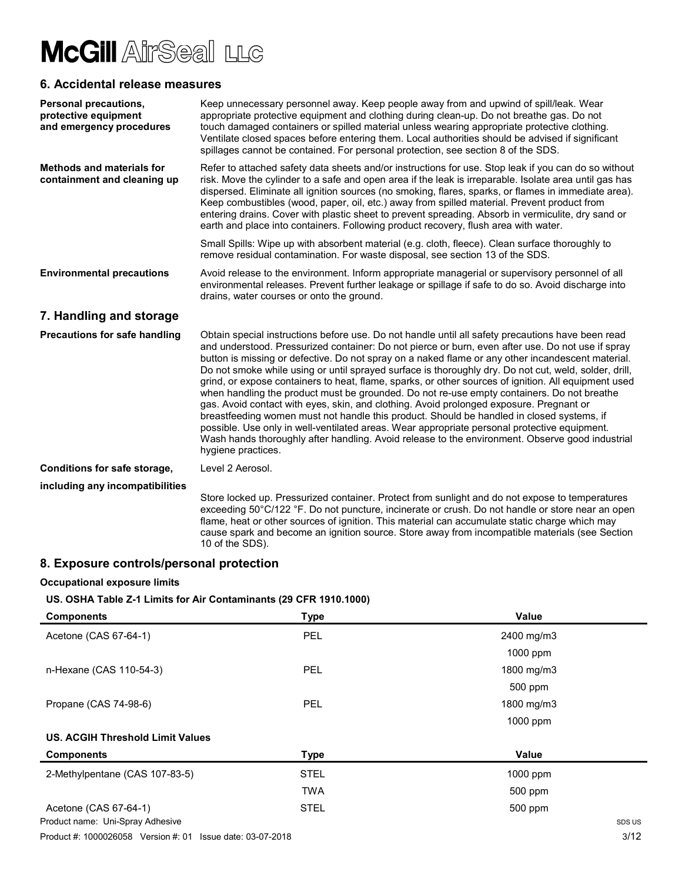### 6. Accidental release measures

| <b>Personal precautions,</b><br>protective equipment<br>and emergency procedures | Keep unnecessary personnel away. Keep people away from and upwind of spill/leak. Wear<br>appropriate protective equipment and clothing during clean-up. Do not breathe gas. Do not<br>touch damaged containers or spilled material unless wearing appropriate protective clothing.<br>Ventilate closed spaces before entering them. Local authorities should be advised if significant<br>spillages cannot be contained. For personal protection, see section 8 of the SDS.                                                                                                                                                                                                                                                                                                                                                                                                                                                                                                                                                                 |
|----------------------------------------------------------------------------------|---------------------------------------------------------------------------------------------------------------------------------------------------------------------------------------------------------------------------------------------------------------------------------------------------------------------------------------------------------------------------------------------------------------------------------------------------------------------------------------------------------------------------------------------------------------------------------------------------------------------------------------------------------------------------------------------------------------------------------------------------------------------------------------------------------------------------------------------------------------------------------------------------------------------------------------------------------------------------------------------------------------------------------------------|
| <b>Methods and materials for</b><br>containment and cleaning up                  | Refer to attached safety data sheets and/or instructions for use. Stop leak if you can do so without<br>risk. Move the cylinder to a safe and open area if the leak is irreparable. Isolate area until gas has<br>dispersed. Eliminate all ignition sources (no smoking, flares, sparks, or flames in immediate area).<br>Keep combustibles (wood, paper, oil, etc.) away from spilled material. Prevent product from<br>entering drains. Cover with plastic sheet to prevent spreading. Absorb in vermiculite, dry sand or<br>earth and place into containers. Following product recovery, flush area with water.                                                                                                                                                                                                                                                                                                                                                                                                                          |
|                                                                                  | Small Spills: Wipe up with absorbent material (e.g. cloth, fleece). Clean surface thoroughly to<br>remove residual contamination. For waste disposal, see section 13 of the SDS.                                                                                                                                                                                                                                                                                                                                                                                                                                                                                                                                                                                                                                                                                                                                                                                                                                                            |
| <b>Environmental precautions</b>                                                 | Avoid release to the environment. Inform appropriate managerial or supervisory personnel of all<br>environmental releases. Prevent further leakage or spillage if safe to do so. Avoid discharge into<br>drains, water courses or onto the ground.                                                                                                                                                                                                                                                                                                                                                                                                                                                                                                                                                                                                                                                                                                                                                                                          |
| 7. Handling and storage                                                          |                                                                                                                                                                                                                                                                                                                                                                                                                                                                                                                                                                                                                                                                                                                                                                                                                                                                                                                                                                                                                                             |
| <b>Precautions for safe handling</b>                                             | Obtain special instructions before use. Do not handle until all safety precautions have been read<br>and understood. Pressurized container: Do not pierce or burn, even after use. Do not use if spray<br>button is missing or defective. Do not spray on a naked flame or any other incandescent material.<br>Do not smoke while using or until sprayed surface is thoroughly dry. Do not cut, weld, solder, drill,<br>grind, or expose containers to heat, flame, sparks, or other sources of ignition. All equipment used<br>when handling the product must be grounded. Do not re-use empty containers. Do not breathe<br>gas. Avoid contact with eyes, skin, and clothing. Avoid prolonged exposure. Pregnant or<br>breastfeeding women must not handle this product. Should be handled in closed systems, if<br>possible. Use only in well-ventilated areas. Wear appropriate personal protective equipment.<br>Wash hands thoroughly after handling. Avoid release to the environment. Observe good industrial<br>hygiene practices. |
| Conditions for safe storage,                                                     | Level 2 Aerosol.                                                                                                                                                                                                                                                                                                                                                                                                                                                                                                                                                                                                                                                                                                                                                                                                                                                                                                                                                                                                                            |
| including any incompatibilities                                                  | Store locked up. Pressurized container. Protect from sunlight and do not expose to temperatures<br>exceeding 50°C/122 °F. Do not puncture, incinerate or crush. Do not handle or store near an open<br>flame, heat or other sources of ignition. This material can accumulate static charge which may<br>cause spark and become an ignition source. Store away from incompatible materials (see Section<br>10 of the SDS).<br>المنافذ والمستحدث المناسب                                                                                                                                                                                                                                                                                                                                                                                                                                                                                                                                                                                     |

### 8. Exposure controls/personal protection

#### Occupational exposure limits

#### US. OSHA Table Z-1 Limits for Air Contaminants (29 CFR 1910.1000)

| <b>Components</b>                       | <b>Type</b> | Value      |
|-----------------------------------------|-------------|------------|
| Acetone (CAS 67-64-1)                   | <b>PEL</b>  | 2400 mg/m3 |
|                                         |             | 1000 ppm   |
| n-Hexane (CAS 110-54-3)                 | <b>PEL</b>  | 1800 mg/m3 |
|                                         |             | 500 ppm    |
| Propane (CAS 74-98-6)                   | <b>PEL</b>  | 1800 mg/m3 |
|                                         |             | 1000 ppm   |
| <b>US. ACGIH Threshold Limit Values</b> |             |            |
| <b>Components</b>                       | <b>Type</b> | Value      |
| 2-Methylpentane (CAS 107-83-5)          | <b>STEL</b> | 1000 ppm   |
|                                         | <b>TWA</b>  | $500$ ppm  |
| Acetone (CAS 67-64-1)                   | <b>STEL</b> | 500 ppm    |
| Product name: Uni-Spray Adhesive        |             | SDS US     |

Product #: 1000026058 Version #: 01 Issue date: 03-07-2018 3/12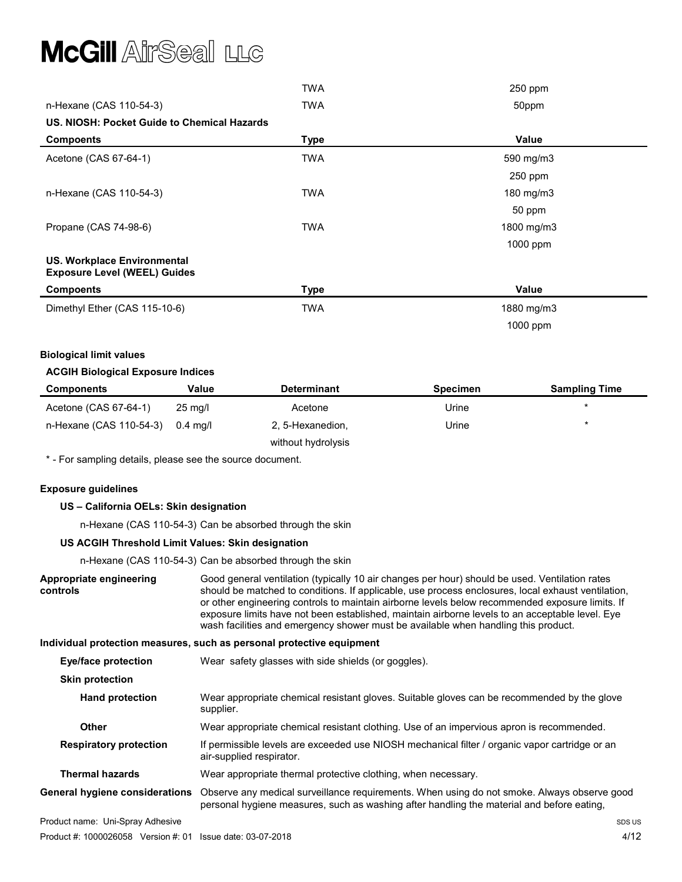|                                                                           | <b>TWA</b>  | 250 ppm    |
|---------------------------------------------------------------------------|-------------|------------|
| n-Hexane (CAS 110-54-3)                                                   | <b>TWA</b>  | 50ppm      |
| US. NIOSH: Pocket Guide to Chemical Hazards                               |             |            |
| <b>Compoents</b>                                                          | <b>Type</b> | Value      |
| Acetone (CAS 67-64-1)                                                     | <b>TWA</b>  | 590 mg/m3  |
|                                                                           |             | 250 ppm    |
| n-Hexane (CAS 110-54-3)                                                   | <b>TWA</b>  | 180 mg/m3  |
|                                                                           |             | 50 ppm     |
| Propane (CAS 74-98-6)                                                     | <b>TWA</b>  | 1800 mg/m3 |
|                                                                           |             | 1000 ppm   |
| <b>US. Workplace Environmental</b><br><b>Exposure Level (WEEL) Guides</b> |             |            |
| <b>Compoents</b>                                                          | <b>Type</b> | Value      |
| Dimethyl Ether (CAS 115-10-6)                                             | <b>TWA</b>  | 1880 mg/m3 |
|                                                                           |             | 1000 ppm   |

#### Biological limit values

#### ACGIH Biological Exposure Indices

| <b>Components</b>       | Value             | <b>Determinant</b> | <b>Specimen</b> | <b>Sampling Time</b> |
|-------------------------|-------------------|--------------------|-----------------|----------------------|
| Acetone (CAS 67-64-1)   | $25 \text{ mq/l}$ | Acetone            | Urine           |                      |
| n-Hexane (CAS 110-54-3) | 0.4 ma/l          | 2, 5-Hexanedion,   | Urine           |                      |
|                         |                   | without hydrolysis |                 |                      |

\* - For sampling details, please see the source document.

#### Exposure guidelines

#### US – California OELs: Skin designation

n-Hexane (CAS 110-54-3) Can be absorbed through the skin

#### US ACGIH Threshold Limit Values: Skin designation

n-Hexane (CAS 110-54-3) Can be absorbed through the skin

|                                       | n-Hexane (CAS 110-54-3) Can be absorbed through the skin                                                                                                                                                                                                                                                                                                                                                                                                                                         |        |
|---------------------------------------|--------------------------------------------------------------------------------------------------------------------------------------------------------------------------------------------------------------------------------------------------------------------------------------------------------------------------------------------------------------------------------------------------------------------------------------------------------------------------------------------------|--------|
| Appropriate engineering<br>controls   | Good general ventilation (typically 10 air changes per hour) should be used. Ventilation rates<br>should be matched to conditions. If applicable, use process enclosures, local exhaust ventilation,<br>or other engineering controls to maintain airborne levels below recommended exposure limits. If<br>exposure limits have not been established, maintain airborne levels to an acceptable level. Eye<br>wash facilities and emergency shower must be available when handling this product. |        |
|                                       | Individual protection measures, such as personal protective equipment                                                                                                                                                                                                                                                                                                                                                                                                                            |        |
| Eye/face protection                   | Wear safety glasses with side shields (or goggles).                                                                                                                                                                                                                                                                                                                                                                                                                                              |        |
| <b>Skin protection</b>                |                                                                                                                                                                                                                                                                                                                                                                                                                                                                                                  |        |
| <b>Hand protection</b>                | Wear appropriate chemical resistant gloves. Suitable gloves can be recommended by the glove<br>supplier.                                                                                                                                                                                                                                                                                                                                                                                         |        |
| <b>Other</b>                          | Wear appropriate chemical resistant clothing. Use of an impervious apron is recommended.                                                                                                                                                                                                                                                                                                                                                                                                         |        |
| <b>Respiratory protection</b>         | If permissible levels are exceeded use NIOSH mechanical filter / organic vapor cartridge or an<br>air-supplied respirator.                                                                                                                                                                                                                                                                                                                                                                       |        |
| <b>Thermal hazards</b>                | Wear appropriate thermal protective clothing, when necessary.                                                                                                                                                                                                                                                                                                                                                                                                                                    |        |
| <b>General hygiene considerations</b> | Observe any medical surveillance requirements. When using do not smoke. Always observe good<br>personal hygiene measures, such as washing after handling the material and before eating,                                                                                                                                                                                                                                                                                                         |        |
| Product name: Uni-Spray Adhesive      |                                                                                                                                                                                                                                                                                                                                                                                                                                                                                                  | SDS US |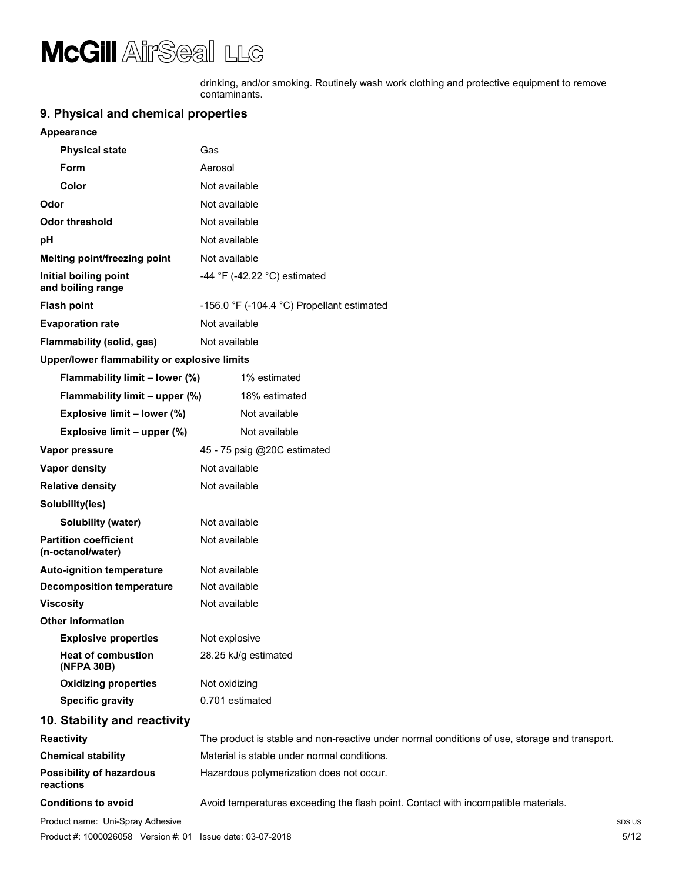drinking, and/or smoking. Routinely wash work clothing and protective equipment to remove contaminants.

### 9. Physical and chemical properties

#### Appearance

| <b>Physical state</b>                             | Gas                                                                                           |  |
|---------------------------------------------------|-----------------------------------------------------------------------------------------------|--|
| Form                                              | Aerosol                                                                                       |  |
| Color                                             | Not available                                                                                 |  |
| Odor                                              | Not available                                                                                 |  |
| <b>Odor threshold</b>                             | Not available                                                                                 |  |
| pH                                                | Not available                                                                                 |  |
| Melting point/freezing point                      | Not available                                                                                 |  |
| Initial boiling point<br>and boiling range        | -44 °F (-42.22 °C) estimated                                                                  |  |
| <b>Flash point</b>                                | -156.0 °F (-104.4 °C) Propellant estimated                                                    |  |
| <b>Evaporation rate</b>                           | Not available                                                                                 |  |
| Flammability (solid, gas)                         | Not available                                                                                 |  |
| Upper/lower flammability or explosive limits      |                                                                                               |  |
| Flammability limit - lower (%)                    | 1% estimated                                                                                  |  |
| Flammability limit - upper (%)                    | 18% estimated                                                                                 |  |
| Explosive limit - lower (%)                       | Not available                                                                                 |  |
| Explosive limit - upper (%)                       | Not available                                                                                 |  |
| Vapor pressure                                    | 45 - 75 psig @20C estimated                                                                   |  |
| Vapor density                                     | Not available                                                                                 |  |
| <b>Relative density</b>                           | Not available                                                                                 |  |
| Solubility(ies)                                   |                                                                                               |  |
| <b>Solubility (water)</b>                         | Not available                                                                                 |  |
| <b>Partition coefficient</b><br>(n-octanol/water) | Not available                                                                                 |  |
| Auto-ignition temperature                         | Not available                                                                                 |  |
| <b>Decomposition temperature</b>                  | Not available                                                                                 |  |
| <b>Viscosity</b>                                  | Not available                                                                                 |  |
| <b>Other information</b>                          |                                                                                               |  |
| <b>Explosive properties</b>                       | Not explosive                                                                                 |  |
| <b>Heat of combustion</b><br>(NFPA 30B)           | 28.25 kJ/g estimated                                                                          |  |
| <b>Oxidizing properties</b>                       | Not oxidizing                                                                                 |  |
| <b>Specific gravity</b>                           | 0.701 estimated                                                                               |  |
| 10. Stability and reactivity                      |                                                                                               |  |
| <b>Reactivity</b>                                 | The product is stable and non-reactive under normal conditions of use, storage and transport. |  |
| <b>Chemical stability</b>                         | Material is stable under normal conditions.                                                   |  |
| <b>Possibility of hazardous</b><br>reactions      | Hazardous polymerization does not occur.                                                      |  |

Conditions to avoid **Avoid temperatures exceeding the flash point.** Contact with incompatible materials.

Product name: Uni-Spray Adhesive Spray Adhesive Spray Adhesive Spray Adhesive Spray Adhesive Spray Adhesive Spray Adhesive Spray Adhesive Spray Adhesive Spray Adhesive Spray Adhesive Spray Adhesive Spray Adhesive Spray Adh Product #: 1000026058 Version #: 01 Issue date: 03-07-2018 S/12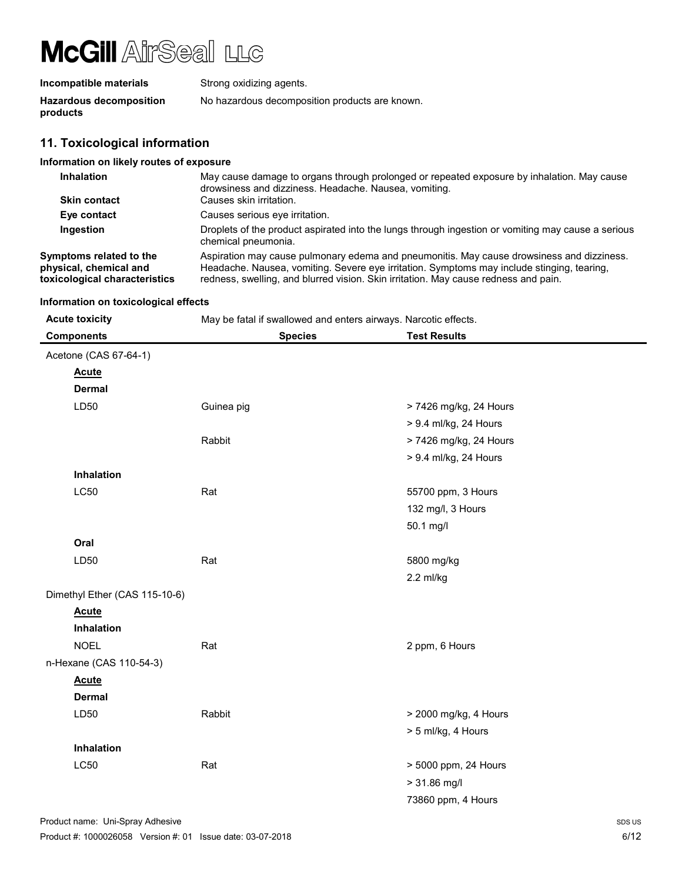| Incompatible materials                     | Strong oxidizing agents.                       |
|--------------------------------------------|------------------------------------------------|
| <b>Hazardous decomposition</b><br>products | No hazardous decomposition products are known. |

### 11. Toxicological information

| 11. 1981601091681 111101111861011                                                  |                                                                                                                                                                                                                                                                                |
|------------------------------------------------------------------------------------|--------------------------------------------------------------------------------------------------------------------------------------------------------------------------------------------------------------------------------------------------------------------------------|
| Information on likely routes of exposure                                           |                                                                                                                                                                                                                                                                                |
| <b>Inhalation</b>                                                                  | May cause damage to organs through prolonged or repeated exposure by inhalation. May cause<br>drowsiness and dizziness. Headache. Nausea, vomiting.                                                                                                                            |
| <b>Skin contact</b>                                                                | Causes skin irritation.                                                                                                                                                                                                                                                        |
| Eye contact                                                                        | Causes serious eye irritation.                                                                                                                                                                                                                                                 |
| Ingestion                                                                          | Droplets of the product aspirated into the lungs through ingestion or vomiting may cause a serious<br>chemical pneumonia.                                                                                                                                                      |
| Symptoms related to the<br>physical, chemical and<br>toxicological characteristics | Aspiration may cause pulmonary edema and pneumonitis. May cause drowsiness and dizziness.<br>Headache. Nausea, vomiting. Severe eye irritation. Symptoms may include stinging, tearing,<br>redness, swelling, and blurred vision. Skin irritation. May cause redness and pain. |

#### Information on toxicological effects

| <b>Acute toxicity</b>         | May be fatal if swallowed and enters airways. Narcotic effects. |                        |  |
|-------------------------------|-----------------------------------------------------------------|------------------------|--|
| <b>Components</b>             | <b>Species</b>                                                  | <b>Test Results</b>    |  |
| Acetone (CAS 67-64-1)         |                                                                 |                        |  |
| <b>Acute</b>                  |                                                                 |                        |  |
| <b>Dermal</b>                 |                                                                 |                        |  |
| LD50                          | Guinea pig                                                      | > 7426 mg/kg, 24 Hours |  |
|                               |                                                                 | > 9.4 ml/kg, 24 Hours  |  |
|                               | Rabbit                                                          | > 7426 mg/kg, 24 Hours |  |
|                               |                                                                 | > 9.4 ml/kg, 24 Hours  |  |
| Inhalation                    |                                                                 |                        |  |
| <b>LC50</b>                   | Rat                                                             | 55700 ppm, 3 Hours     |  |
|                               |                                                                 | 132 mg/l, 3 Hours      |  |
|                               |                                                                 | 50.1 mg/l              |  |
| Oral                          |                                                                 |                        |  |
| LD50                          | Rat                                                             | 5800 mg/kg             |  |
|                               |                                                                 | 2.2 ml/kg              |  |
| Dimethyl Ether (CAS 115-10-6) |                                                                 |                        |  |
| <b>Acute</b>                  |                                                                 |                        |  |
| Inhalation                    |                                                                 |                        |  |
| <b>NOEL</b>                   | Rat                                                             | 2 ppm, 6 Hours         |  |
| n-Hexane (CAS 110-54-3)       |                                                                 |                        |  |
| <b>Acute</b>                  |                                                                 |                        |  |
| <b>Dermal</b>                 |                                                                 |                        |  |
| LD50                          | Rabbit                                                          | > 2000 mg/kg, 4 Hours  |  |
|                               |                                                                 | > 5 ml/kg, 4 Hours     |  |
| Inhalation                    |                                                                 |                        |  |
| LC50                          | Rat                                                             | > 5000 ppm, 24 Hours   |  |
|                               |                                                                 | $> 31.86$ mg/l         |  |
|                               |                                                                 | 73860 ppm, 4 Hours     |  |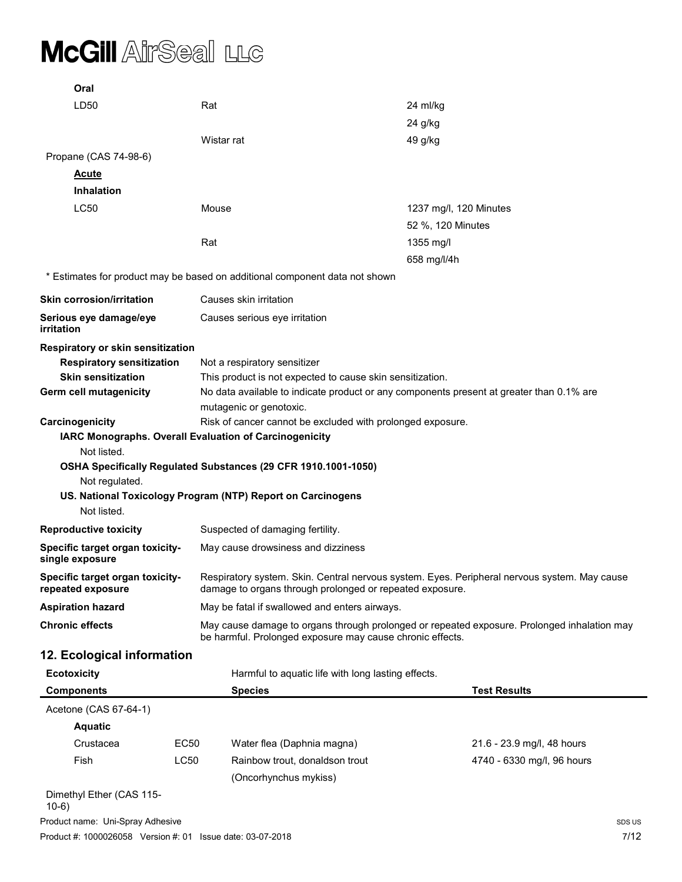| Oral                                                                        |      |                                                                |                                                            |                                                                                              |
|-----------------------------------------------------------------------------|------|----------------------------------------------------------------|------------------------------------------------------------|----------------------------------------------------------------------------------------------|
| LD50                                                                        | Rat  |                                                                | 24 ml/kg                                                   |                                                                                              |
|                                                                             |      |                                                                | 24 g/kg                                                    |                                                                                              |
|                                                                             |      | Wistar rat                                                     | 49 g/kg                                                    |                                                                                              |
| Propane (CAS 74-98-6)                                                       |      |                                                                |                                                            |                                                                                              |
| <u>Acute</u>                                                                |      |                                                                |                                                            |                                                                                              |
| <b>Inhalation</b>                                                           |      |                                                                |                                                            |                                                                                              |
| LC50                                                                        |      | Mouse                                                          |                                                            | 1237 mg/l, 120 Minutes                                                                       |
|                                                                             |      |                                                                | 52 %, 120 Minutes                                          |                                                                                              |
|                                                                             | Rat  |                                                                | 1355 mg/l                                                  |                                                                                              |
|                                                                             |      |                                                                | 658 mg/l/4h                                                |                                                                                              |
| * Estimates for product may be based on additional component data not shown |      |                                                                |                                                            |                                                                                              |
| <b>Skin corrosion/irritation</b>                                            |      | Causes skin irritation                                         |                                                            |                                                                                              |
| Serious eye damage/eye<br>irritation                                        |      | Causes serious eye irritation                                  |                                                            |                                                                                              |
| Respiratory or skin sensitization                                           |      |                                                                |                                                            |                                                                                              |
| <b>Respiratory sensitization</b>                                            |      | Not a respiratory sensitizer                                   |                                                            |                                                                                              |
| <b>Skin sensitization</b>                                                   |      |                                                                | This product is not expected to cause skin sensitization.  |                                                                                              |
| <b>Germ cell mutagenicity</b>                                               |      | mutagenic or genotoxic.                                        |                                                            | No data available to indicate product or any components present at greater than 0.1% are     |
| Carcinogenicity                                                             |      |                                                                | Risk of cancer cannot be excluded with prolonged exposure. |                                                                                              |
| Not listed.                                                                 |      | IARC Monographs. Overall Evaluation of Carcinogenicity         |                                                            |                                                                                              |
|                                                                             |      | OSHA Specifically Regulated Substances (29 CFR 1910.1001-1050) |                                                            |                                                                                              |
| Not regulated.                                                              |      |                                                                |                                                            |                                                                                              |
|                                                                             |      | US. National Toxicology Program (NTP) Report on Carcinogens    |                                                            |                                                                                              |
| Not listed.                                                                 |      |                                                                |                                                            |                                                                                              |
| <b>Reproductive toxicity</b>                                                |      | Suspected of damaging fertility.                               |                                                            |                                                                                              |
| Specific target organ toxicity-<br>single exposure                          |      | May cause drowsiness and dizziness                             |                                                            |                                                                                              |
| Specific target organ toxicity-<br>repeated exposure                        |      |                                                                | damage to organs through prolonged or repeated exposure.   | Respiratory system, Skin, Central nervous system, Eves, Peripheral nervous system, May cause |
| <b>Aspiration hazard</b>                                                    |      | May be fatal if swallowed and enters airways.                  |                                                            |                                                                                              |
| <b>Chronic effects</b>                                                      |      |                                                                | be harmful. Prolonged exposure may cause chronic effects.  | May cause damage to organs through prolonged or repeated exposure. Prolonged inhalation may  |
| 12. Ecological information                                                  |      |                                                                |                                                            |                                                                                              |
| <b>Ecotoxicity</b>                                                          |      |                                                                | Harmful to aquatic life with long lasting effects.         |                                                                                              |
| <b>Components</b>                                                           |      | <b>Species</b>                                                 |                                                            | <b>Test Results</b>                                                                          |
| Acetone (CAS 67-64-1)                                                       |      |                                                                |                                                            |                                                                                              |
| <b>Aquatic</b>                                                              |      |                                                                |                                                            |                                                                                              |
| Crustacea                                                                   | EC50 | Water flea (Daphnia magna)                                     |                                                            | 21.6 - 23.9 mg/l, 48 hours                                                                   |
| Fish                                                                        | LC50 | Rainbow trout, donaldson trout                                 |                                                            | 4740 - 6330 mg/l, 96 hours                                                                   |
|                                                                             |      | (Oncorhynchus mykiss)                                          |                                                            |                                                                                              |
| Dimethyl Ether (CAS 115-                                                    |      |                                                                |                                                            |                                                                                              |

Product name: Uni-Spray Adhesive SDS US and the Superior Spray Adhesive SDS US and the Superior Spray Adhesive Product #: 1000026058 Version #: 01 Issue date: 03-07-2018 7/12 10-6)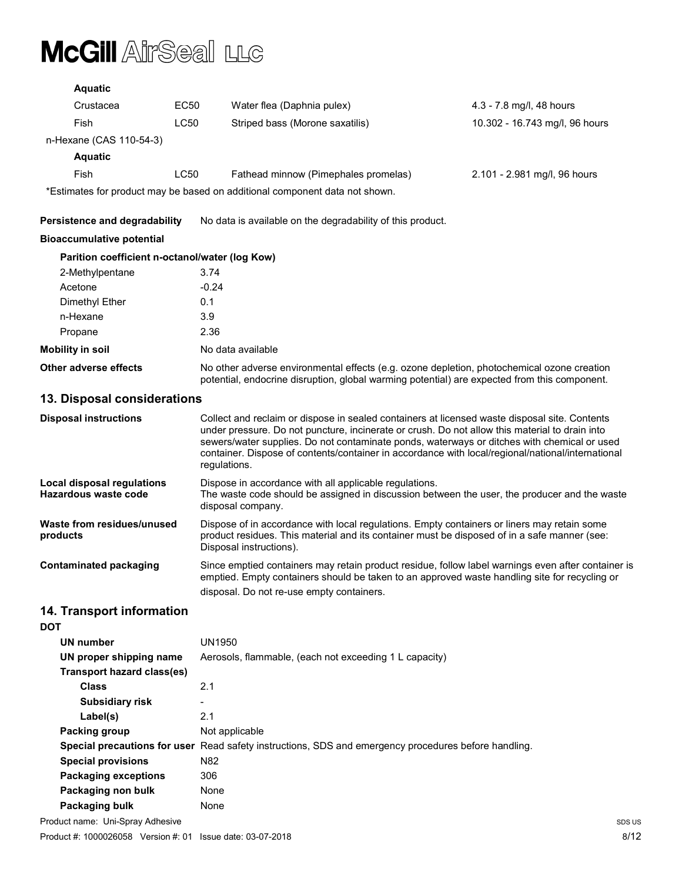| <b>Aquatic</b>                                            |               |                                                                                                                                                                                                                                                                                                                                                                                                                     |                                |  |
|-----------------------------------------------------------|---------------|---------------------------------------------------------------------------------------------------------------------------------------------------------------------------------------------------------------------------------------------------------------------------------------------------------------------------------------------------------------------------------------------------------------------|--------------------------------|--|
| Crustacea                                                 | EC50          | Water flea (Daphnia pulex)                                                                                                                                                                                                                                                                                                                                                                                          | 4.3 - 7.8 mg/l, 48 hours       |  |
| Fish                                                      | LC50          | Striped bass (Morone saxatilis)                                                                                                                                                                                                                                                                                                                                                                                     | 10.302 - 16.743 mg/l, 96 hours |  |
| n-Hexane (CAS 110-54-3)                                   |               |                                                                                                                                                                                                                                                                                                                                                                                                                     |                                |  |
| <b>Aquatic</b>                                            |               |                                                                                                                                                                                                                                                                                                                                                                                                                     |                                |  |
| Fish                                                      | LC50          | Fathead minnow (Pimephales promelas)                                                                                                                                                                                                                                                                                                                                                                                | 2.101 - 2.981 mg/l, 96 hours   |  |
|                                                           |               | *Estimates for product may be based on additional component data not shown.                                                                                                                                                                                                                                                                                                                                         |                                |  |
| <b>Persistence and degradability</b>                      |               | No data is available on the degradability of this product.                                                                                                                                                                                                                                                                                                                                                          |                                |  |
| <b>Bioaccumulative potential</b>                          |               |                                                                                                                                                                                                                                                                                                                                                                                                                     |                                |  |
| Parition coefficient n-octanol/water (log Kow)            |               |                                                                                                                                                                                                                                                                                                                                                                                                                     |                                |  |
| 2-Methylpentane                                           | 3.74          |                                                                                                                                                                                                                                                                                                                                                                                                                     |                                |  |
| Acetone                                                   | $-0.24$       |                                                                                                                                                                                                                                                                                                                                                                                                                     |                                |  |
| Dimethyl Ether                                            | 0.1           |                                                                                                                                                                                                                                                                                                                                                                                                                     |                                |  |
| n-Hexane                                                  | 3.9           |                                                                                                                                                                                                                                                                                                                                                                                                                     |                                |  |
| Propane                                                   | 2.36          |                                                                                                                                                                                                                                                                                                                                                                                                                     |                                |  |
| <b>Mobility in soil</b>                                   |               | No data available                                                                                                                                                                                                                                                                                                                                                                                                   |                                |  |
| <b>Other adverse effects</b>                              |               | No other adverse environmental effects (e.g. ozone depletion, photochemical ozone creation<br>potential, endocrine disruption, global warming potential) are expected from this component.                                                                                                                                                                                                                          |                                |  |
| 13. Disposal considerations                               |               |                                                                                                                                                                                                                                                                                                                                                                                                                     |                                |  |
| <b>Disposal instructions</b>                              |               | Collect and reclaim or dispose in sealed containers at licensed waste disposal site. Contents<br>under pressure. Do not puncture, incinerate or crush. Do not allow this material to drain into<br>sewers/water supplies. Do not contaminate ponds, waterways or ditches with chemical or used<br>container. Dispose of contents/container in accordance with local/regional/national/international<br>regulations. |                                |  |
| <b>Local disposal regulations</b><br>Hazardous waste code |               | Dispose in accordance with all applicable regulations.<br>The waste code should be assigned in discussion between the user, the producer and the waste<br>disposal company.                                                                                                                                                                                                                                         |                                |  |
| Waste from residues/unused<br>products                    |               | Dispose of in accordance with local regulations. Empty containers or liners may retain some<br>product residues. This material and its container must be disposed of in a safe manner (see:<br>Disposal instructions).                                                                                                                                                                                              |                                |  |
| <b>Contaminated packaging</b>                             |               | Since emptied containers may retain product residue, follow label warnings even after container is<br>emptied. Empty containers should be taken to an approved waste handling site for recycling or<br>disposal. Do not re-use empty containers.                                                                                                                                                                    |                                |  |
| 14. Transport information<br><b>DOT</b>                   |               |                                                                                                                                                                                                                                                                                                                                                                                                                     |                                |  |
| UN number                                                 | <b>UN1950</b> |                                                                                                                                                                                                                                                                                                                                                                                                                     |                                |  |
| IIN nronor chinning namo                                  |               | Acrossle flammable (asch not exceeding 1 Leanacity)                                                                                                                                                                                                                                                                                                                                                                 |                                |  |

| UN proper shipping name          |                            | Aerosols, flammable, (each not exceeding 1 L capacity)                                               |        |  |
|----------------------------------|----------------------------|------------------------------------------------------------------------------------------------------|--------|--|
|                                  | Transport hazard class(es) |                                                                                                      |        |  |
| <b>Class</b>                     |                            | 2.1                                                                                                  |        |  |
| <b>Subsidiary risk</b>           |                            | $\overline{\phantom{0}}$                                                                             |        |  |
| Label(s)                         |                            | 2.1                                                                                                  |        |  |
| Packing group                    |                            | Not applicable                                                                                       |        |  |
|                                  |                            | Special precautions for user Read safety instructions, SDS and emergency procedures before handling. |        |  |
| <b>Special provisions</b>        |                            | N <sub>82</sub>                                                                                      |        |  |
| <b>Packaging exceptions</b>      |                            | 306                                                                                                  |        |  |
| Packaging non bulk               |                            | None                                                                                                 |        |  |
| Packaging bulk                   |                            | None                                                                                                 |        |  |
| Product name: Uni-Spray Adhesive |                            |                                                                                                      | SDS US |  |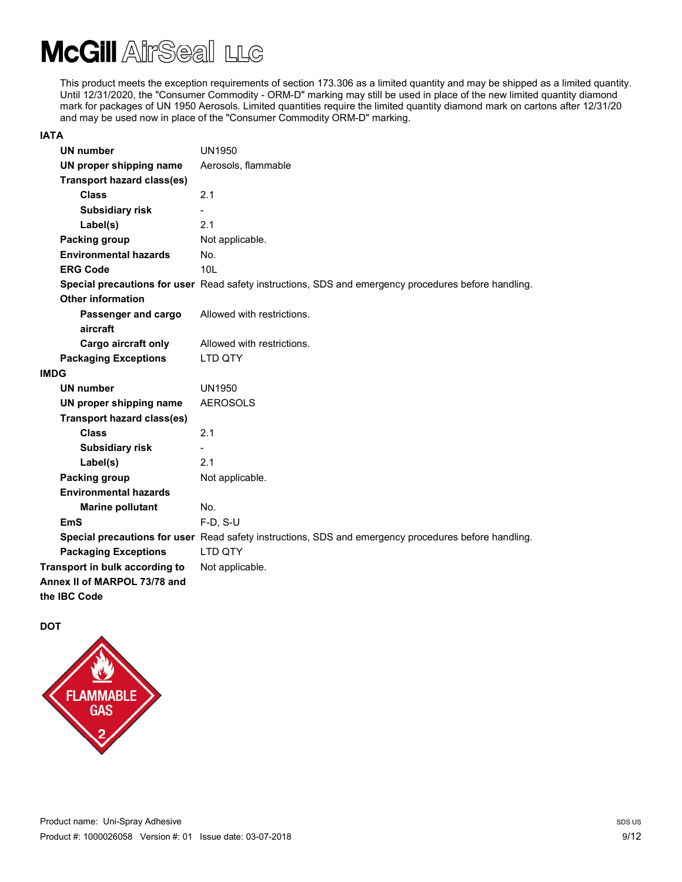This product meets the exception requirements of section 173.306 as a limited quantity and may be shipped as a limited quantity. Until 12/31/2020, the "Consumer Commodity - ORM-D" marking may still be used in place of the new limited quantity diamond mark for packages of UN 1950 Aerosols. Limited quantities require the limited quantity diamond mark on cartons after 12/31/20 and may be used now in place of the "Consumer Commodity ORM-D" marking.

#### IATA

| <b>UN number</b>                  | <b>UN1950</b>                                                                                        |
|-----------------------------------|------------------------------------------------------------------------------------------------------|
| UN proper shipping name           | Aerosols, flammable                                                                                  |
| <b>Transport hazard class(es)</b> |                                                                                                      |
| <b>Class</b>                      | 2.1                                                                                                  |
| <b>Subsidiary risk</b>            |                                                                                                      |
| Label(s)                          | 2.1                                                                                                  |
| Packing group                     | Not applicable.                                                                                      |
| <b>Environmental hazards</b>      | No.                                                                                                  |
| <b>ERG Code</b>                   | 10 <sub>L</sub>                                                                                      |
|                                   | Special precautions for user Read safety instructions, SDS and emergency procedures before handling. |
| <b>Other information</b>          |                                                                                                      |
| Passenger and cargo               | Allowed with restrictions.                                                                           |
| aircraft                          |                                                                                                      |
| Cargo aircraft only               | Allowed with restrictions.                                                                           |
| <b>Packaging Exceptions</b>       | LTD QTY                                                                                              |
| <b>IMDG</b>                       |                                                                                                      |
| <b>UN number</b>                  | <b>UN1950</b>                                                                                        |
| UN proper shipping name           | <b>AEROSOLS</b>                                                                                      |
| <b>Transport hazard class(es)</b> |                                                                                                      |
| <b>Class</b>                      | 2.1                                                                                                  |
| <b>Subsidiary risk</b>            |                                                                                                      |
| Label(s)                          | 2.1                                                                                                  |
| Packing group                     | Not applicable.                                                                                      |
| <b>Environmental hazards</b>      |                                                                                                      |
| <b>Marine pollutant</b>           | No.                                                                                                  |
| <b>EmS</b>                        | $F-D, S-U$                                                                                           |
|                                   | Special precautions for user Read safety instructions, SDS and emergency procedures before handling. |
| <b>Packaging Exceptions</b>       | <b>LTD OTY</b>                                                                                       |
| Transport in bulk according to    | Not applicable.                                                                                      |
| Annex II of MARPOL 73/78 and      |                                                                                                      |
| the IBC Code                      |                                                                                                      |

**DOT** 

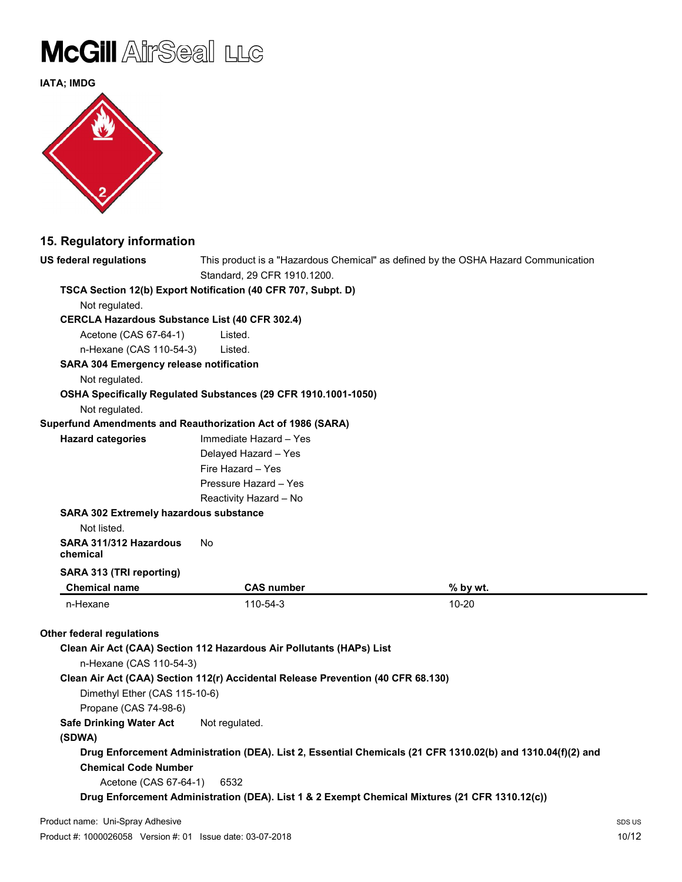

IATA; IMDG



### 15. Regulatory information

| US federal regulations                                      |                                                                                  | This product is a "Hazardous Chemical" as defined by the OSHA Hazard Communication                          |        |
|-------------------------------------------------------------|----------------------------------------------------------------------------------|-------------------------------------------------------------------------------------------------------------|--------|
| Standard, 29 CFR 1910.1200.                                 |                                                                                  |                                                                                                             |        |
|                                                             | TSCA Section 12(b) Export Notification (40 CFR 707, Subpt. D)                    |                                                                                                             |        |
| Not regulated.                                              |                                                                                  |                                                                                                             |        |
| <b>CERCLA Hazardous Substance List (40 CFR 302.4)</b>       |                                                                                  |                                                                                                             |        |
| Acetone (CAS 67-64-1)                                       | Listed.                                                                          |                                                                                                             |        |
| n-Hexane (CAS 110-54-3)                                     | Listed.                                                                          |                                                                                                             |        |
| <b>SARA 304 Emergency release notification</b>              |                                                                                  |                                                                                                             |        |
| Not regulated.                                              |                                                                                  |                                                                                                             |        |
|                                                             | OSHA Specifically Regulated Substances (29 CFR 1910.1001-1050)                   |                                                                                                             |        |
| Not regulated.                                              |                                                                                  |                                                                                                             |        |
| Superfund Amendments and Reauthorization Act of 1986 (SARA) |                                                                                  |                                                                                                             |        |
| <b>Hazard categories</b>                                    | Immediate Hazard - Yes                                                           |                                                                                                             |        |
|                                                             | Delayed Hazard - Yes                                                             |                                                                                                             |        |
|                                                             | Fire Hazard - Yes                                                                |                                                                                                             |        |
|                                                             | Pressure Hazard - Yes                                                            |                                                                                                             |        |
|                                                             | Reactivity Hazard - No                                                           |                                                                                                             |        |
| SARA 302 Extremely hazardous substance                      |                                                                                  |                                                                                                             |        |
| Not listed.                                                 |                                                                                  |                                                                                                             |        |
| SARA 311/312 Hazardous<br>chemical                          | No                                                                               |                                                                                                             |        |
| SARA 313 (TRI reporting)                                    |                                                                                  |                                                                                                             |        |
| <b>Chemical name</b>                                        | <b>CAS number</b>                                                                | % by wt.                                                                                                    |        |
| n-Hexane                                                    | 110-54-3                                                                         | 10-20                                                                                                       |        |
|                                                             |                                                                                  |                                                                                                             |        |
| <b>Other federal regulations</b>                            |                                                                                  |                                                                                                             |        |
|                                                             | Clean Air Act (CAA) Section 112 Hazardous Air Pollutants (HAPs) List             |                                                                                                             |        |
| n-Hexane (CAS 110-54-3)                                     |                                                                                  |                                                                                                             |        |
|                                                             | Clean Air Act (CAA) Section 112(r) Accidental Release Prevention (40 CFR 68.130) |                                                                                                             |        |
| Dimethyl Ether (CAS 115-10-6)                               |                                                                                  |                                                                                                             |        |
| Propane (CAS 74-98-6)                                       |                                                                                  |                                                                                                             |        |
| <b>Safe Drinking Water Act</b>                              | Not regulated.                                                                   |                                                                                                             |        |
| (SDWA)                                                      |                                                                                  |                                                                                                             |        |
| <b>Chemical Code Number</b>                                 |                                                                                  | Drug Enforcement Administration (DEA). List 2, Essential Chemicals (21 CFR 1310.02(b) and 1310.04(f)(2) and |        |
|                                                             |                                                                                  |                                                                                                             |        |
| Acetone (CAS 67-64-1)                                       | 6532                                                                             | Drug Enforcement Administration (DEA). List 1 & 2 Exempt Chemical Mixtures (21 CFR 1310.12(c))              |        |
|                                                             |                                                                                  |                                                                                                             |        |
| Product name: Uni-Spray Adhesive                            |                                                                                  |                                                                                                             | SDS US |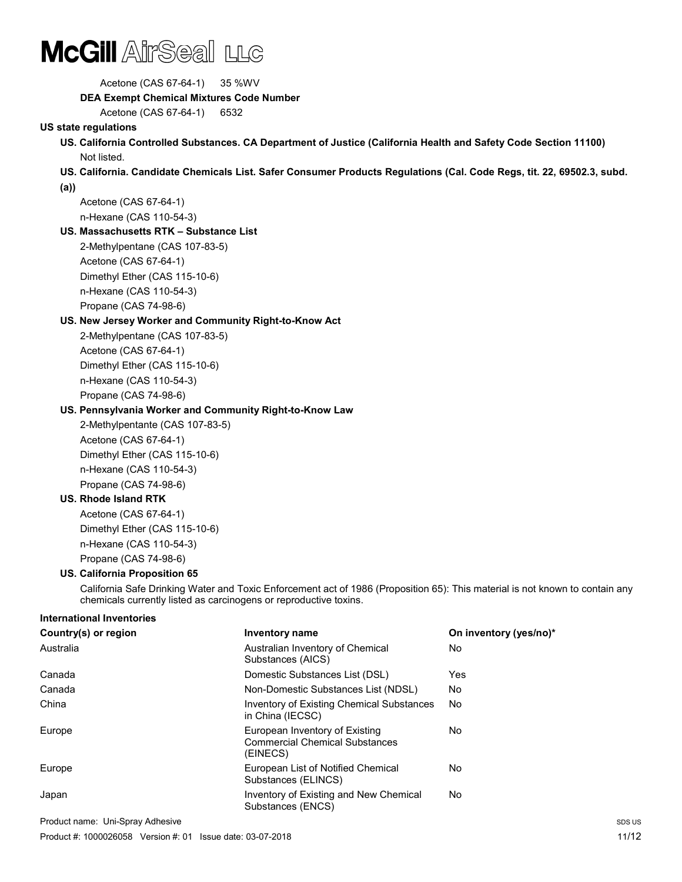

 Acetone (CAS 67-64-1) 35 %WV DEA Exempt Chemical Mixtures Code Number Acetone (CAS 67-64-1) 6532 US state regulations US. California Controlled Substances. CA Department of Justice (California Health and Safety Code Section 11100) Not listed. US. California. Candidate Chemicals List. Safer Consumer Products Regulations (Cal. Code Regs, tit. 22, 69502.3, subd. (a)) Acetone (CAS 67-64-1) n-Hexane (CAS 110-54-3) US. Massachusetts RTK – Substance List 2-Methylpentane (CAS 107-83-5) Acetone (CAS 67-64-1) Dimethyl Ether (CAS 115-10-6) n-Hexane (CAS 110-54-3) Propane (CAS 74-98-6) US. New Jersey Worker and Community Right-to-Know Act 2-Methylpentane (CAS 107-83-5) Acetone (CAS 67-64-1) Dimethyl Ether (CAS 115-10-6) n-Hexane (CAS 110-54-3) Propane (CAS 74-98-6) US. Pennsylvania Worker and Community Right-to-Know Law 2-Methylpentante (CAS 107-83-5) Acetone (CAS 67-64-1) Dimethyl Ether (CAS 115-10-6) n-Hexane (CAS 110-54-3) Propane (CAS 74-98-6) US. Rhode Island RTK Acetone (CAS 67-64-1) Dimethyl Ether (CAS 115-10-6) n-Hexane (CAS 110-54-3) Propane (CAS 74-98-6) US. California Proposition 65 California Safe Drinking Water and Toxic Enforcement act of 1986 (Proposition 65): This material is not known to contain any chemicals currently listed as carcinogens or reproductive toxins. International Inventories Country(s) or region The Inventory name Country (yes/no)\* Australia Australian Inventory of Chemical Substances (AICS) No Canada Domestic Substances List (DSL) Yes Canada Non-Domestic Substances List (NDSL) No

Product name: Uni-Spray Adhesive Subsection Advertisery of the Subsection Advertisery Subsection Advertisery SDS US Product #: 1000026058 Version #: 01 Issue date: 03-07-2018

China **Inventory of Existing Chemical Substances** 

Europe **European Inventory of Existing** 

Europe European List of Notified Chemical

Japan **Inventory of Existing and New Chemical** 

in China (IECSC)

Substances (ELINCS)

Substances (ENCS)

(EINECS)

Commercial Chemical Substances

No

No

No

No